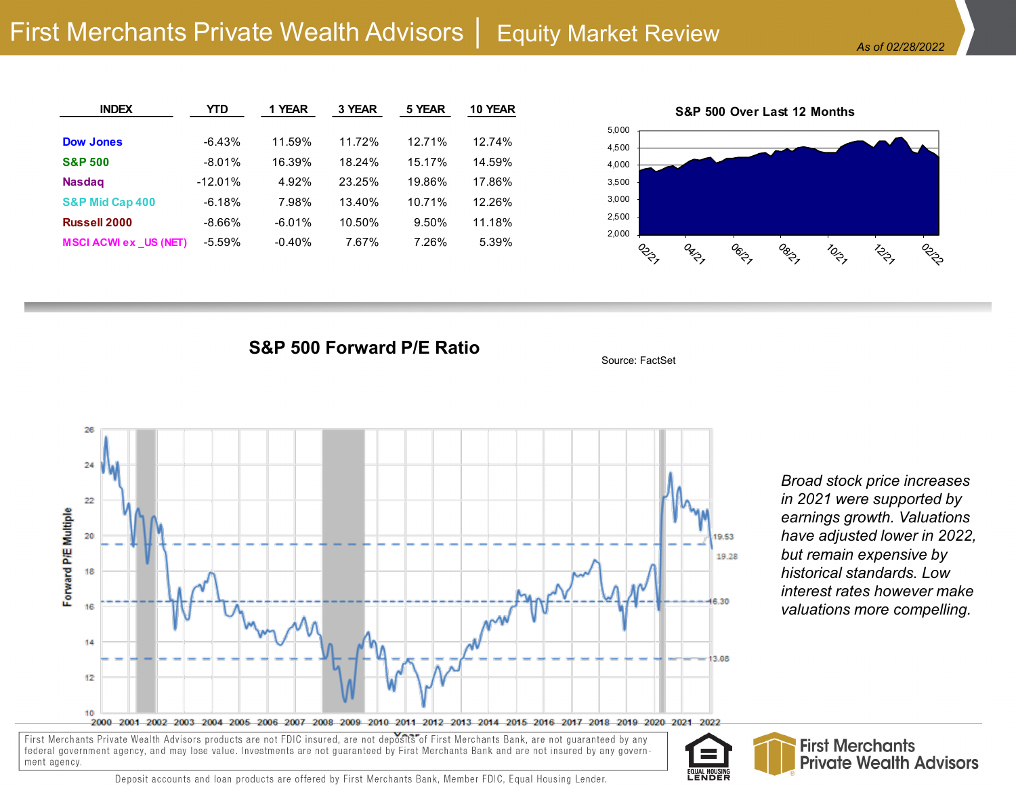| <b>INDEX</b>                 | YTD       | 1 YEAR   | 3 YEAR | 5 YEAR | 10 YEAR   |
|------------------------------|-----------|----------|--------|--------|-----------|
|                              |           |          |        |        |           |
| <b>Dow Jones</b>             | $-6.43%$  | 11.59%   | 11.72% | 12.71% | 12.74%    |
| <b>S&amp;P 500</b>           | $-8.01%$  | 16.39%   | 18.24% | 15.17% | 14.59%    |
| <b>Nasdag</b>                | $-12.01%$ | 4.92%    | 23.25% | 19.86% | 17.86%    |
| <b>S&amp;P Mid Cap 400</b>   | $-6.18%$  | 7.98%    | 13.40% | 10.71% | $12.26\%$ |
| <b>Russell 2000</b>          | $-8.66\%$ | $-6.01%$ | 10.50% | 9.50%  | 11.18%    |
| <b>MSCI ACWI ex US (NET)</b> | $-5.59%$  | $-0.40%$ | 7.67%  | 7.26%  | 5.39%     |



**S&P 500 Forward P/E Ratio**



*Broad stock price increases in 2021 were supported by earnings growth. Valuations have adjusted lower in 2022, but remain expensive by historical standards. Low interest rates however make valuations more compelling.*

First Merchants Private Wealth Advisors products are not FDIC insured, are not deposits of First Merchants Bank, are not guaranteed by any federal government agency, and may lose value. Investments are not guaranteed by First Merchants Bank and are not insured by any government agency.



Source: FactSet

Deposit accounts and loan products are offered by First Merchants Bank, Member FDIC, Equal Housing Lender.